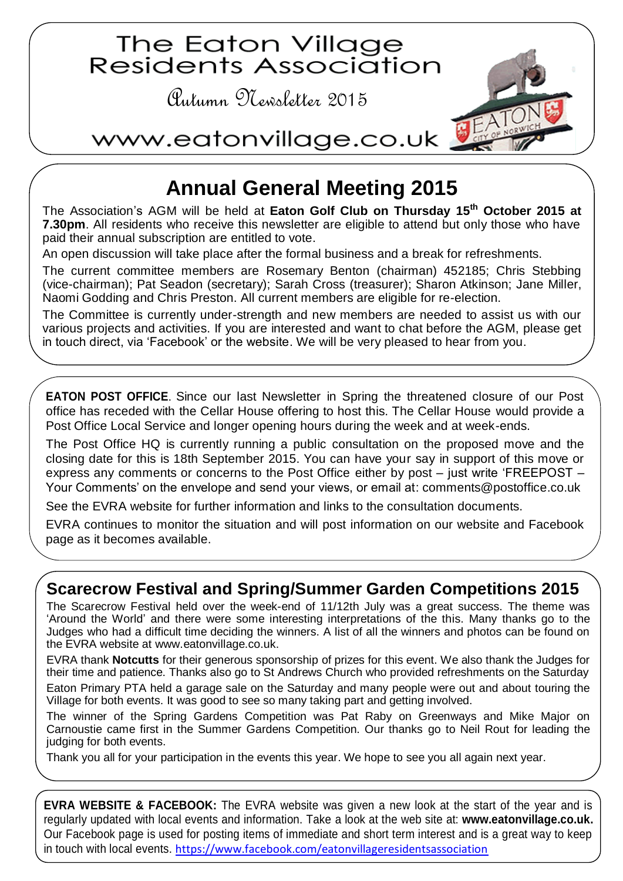

## **Annual General Meeting 2015**

The Association's AGM will be held at **Eaton Golf Club on Thursday 15 th October 2015 at 7.30pm**. All residents who receive this newsletter are eligible to attend but only those who have paid their annual subscription are entitled to vote.

An open discussion will take place after the formal business and a break for refreshments.

The current committee members are Rosemary Benton (chairman) 452185; Chris Stebbing (vice-chairman); Pat Seadon (secretary); Sarah Cross (treasurer); Sharon Atkinson; Jane Miller, Naomi Godding and Chris Preston. All current members are eligible for re-election.

The Committee is currently under-strength and new members are needed to assist us with our various projects and activities. If you are interested and want to chat before the AGM, please get in touch direct, via 'Facebook' or the website. We will be very pleased to hear from you.

**EATON POST OFFICE**. Since our last Newsletter in Spring the threatened closure of our Post office has receded with the Cellar House offering to host this. The Cellar House would provide a Post Office Local Service and longer opening hours during the week and at week-ends.

The Post Office HQ is currently running a public consultation on the proposed move and the closing date for this is 18th September 2015. You can have your say in support of this move or express any comments or concerns to the Post Office either by post – just write 'FREEPOST – Your Comments' on the envelope and send your views, or email at: [comments@postoffice.co.uk](mailto:comments@postoffice.co.uk)

See the EVRA website for further information and links to the consultation documents.

EVRA continues to monitor the situation and will post information on our website and Facebook page as it becomes available.

## **Scarecrow Festival and Spring/Summer Garden Competitions 2015**

The Scarecrow Festival held over the week-end of 11/12th July was a great success. The theme was 'Around the World' and there were some interesting interpretations of the this. Many thanks go to the Judges who had a difficult time deciding the winners. A list of all the winners and photos can be found on the EVRA website at [www.eatonvillage.co.uk.](http://www.eatonvillage.co.uk/)

EVRA thank **Notcutts** for their generous sponsorship of prizes for this event. We also thank the Judges for their time and patience. Thanks also go to St Andrews Church who provided refreshments on the Saturday

Eaton Primary PTA held a garage sale on the Saturday and many people were out and about touring the Village for both events. It was good to see so many taking part and getting involved.

The winner of the Spring Gardens Competition was Pat Raby on Greenways and Mike Major on Carnoustie came first in the Summer Gardens Competition. Our thanks go to Neil Rout for leading the judging for both events.

Thank you all for your participation in the events this year. We hope to see you all again next year.

**EVRA WEBSITE & FACEBOOK:** The EVRA website was given a new look at the start of the year and is regularly updated with local events and information. Take a look at the web site at: **www.eatonvillage.co.uk.** Our Facebook page is used for posting items of immediate and short term interest and is a great way to keep in touch with local events. <https://www.facebook.com/eatonvillageresidentsassociation>